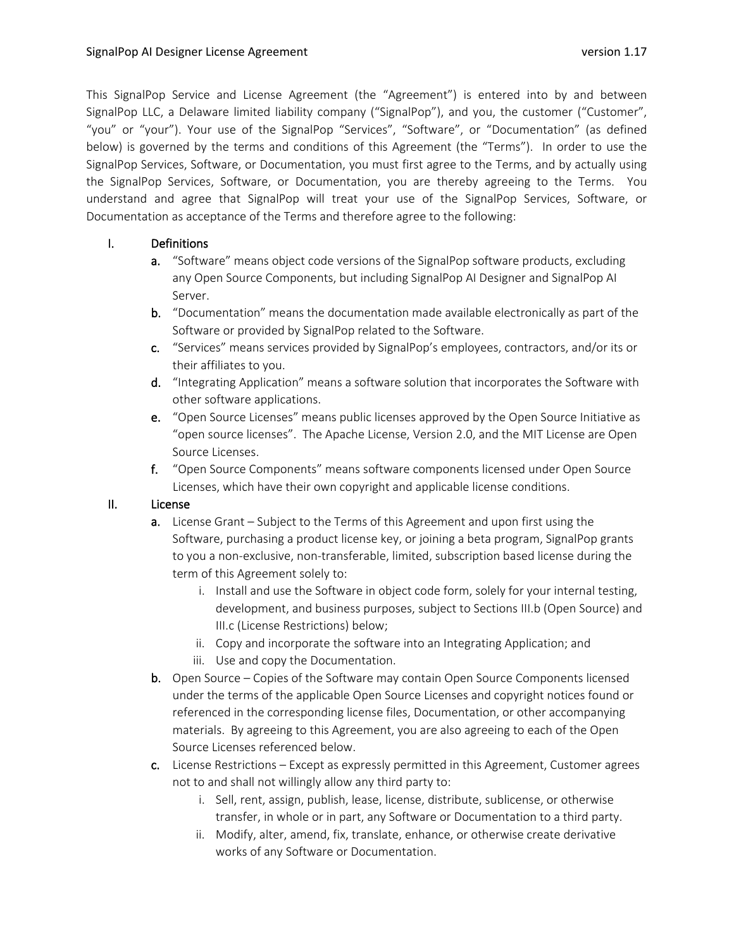This SignalPop Service and License Agreement (the "Agreement") is entered into by and between SignalPop LLC, a Delaware limited liability company ("SignalPop"), and you, the customer ("Customer", "you" or "your"). Your use of the SignalPop "Services", "Software", or "Documentation" (as defined below) is governed by the terms and conditions of this Agreement (the "Terms"). In order to use the SignalPop Services, Software, or Documentation, you must first agree to the Terms, and by actually using the SignalPop Services, Software, or Documentation, you are thereby agreeing to the Terms. You understand and agree that SignalPop will treat your use of the SignalPop Services, Software, or Documentation as acceptance of the Terms and therefore agree to the following:

# I. Definitions

- a. "Software" means object code versions of the SignalPop software products, excluding any Open Source Components, but including SignalPop AI Designer and SignalPop AI Server.
- b. "Documentation" means the documentation made available electronically as part of the Software or provided by SignalPop related to the Software.
- c. "Services" means services provided by SignalPop's employees, contractors, and/or its or their affiliates to you.
- d. "Integrating Application" means a software solution that incorporates the Software with other software applications.
- e. "Open Source Licenses" means public licenses approved by the Open Source Initiative as "open source licenses". The Apache License, Version 2.0, and the MIT License are Open Source Licenses.
- f. "Open Source Components" means software components licensed under Open Source Licenses, which have their own copyright and applicable license conditions.

# II. License

- a. License Grant Subject to the Terms of this Agreement and upon first using the Software, purchasing a product license key, or joining a beta program, SignalPop grants to you a non-exclusive, non-transferable, limited, subscription based license during the term of this Agreement solely to:
	- i. Install and use the Software in object code form, solely for your internal testing, development, and business purposes, subject to Sections III.b (Open Source) and III.c (License Restrictions) below;
	- ii. Copy and incorporate the software into an Integrating Application; and
	- iii. Use and copy the Documentation.
- b. Open Source Copies of the Software may contain Open Source Components licensed under the terms of the applicable Open Source Licenses and copyright notices found or referenced in the corresponding license files, Documentation, or other accompanying materials. By agreeing to this Agreement, you are also agreeing to each of the Open Source Licenses referenced below.
- c. License Restrictions Except as expressly permitted in this Agreement, Customer agrees not to and shall not willingly allow any third party to:
	- i. Sell, rent, assign, publish, lease, license, distribute, sublicense, or otherwise transfer, in whole or in part, any Software or Documentation to a third party.
	- ii. Modify, alter, amend, fix, translate, enhance, or otherwise create derivative works of any Software or Documentation.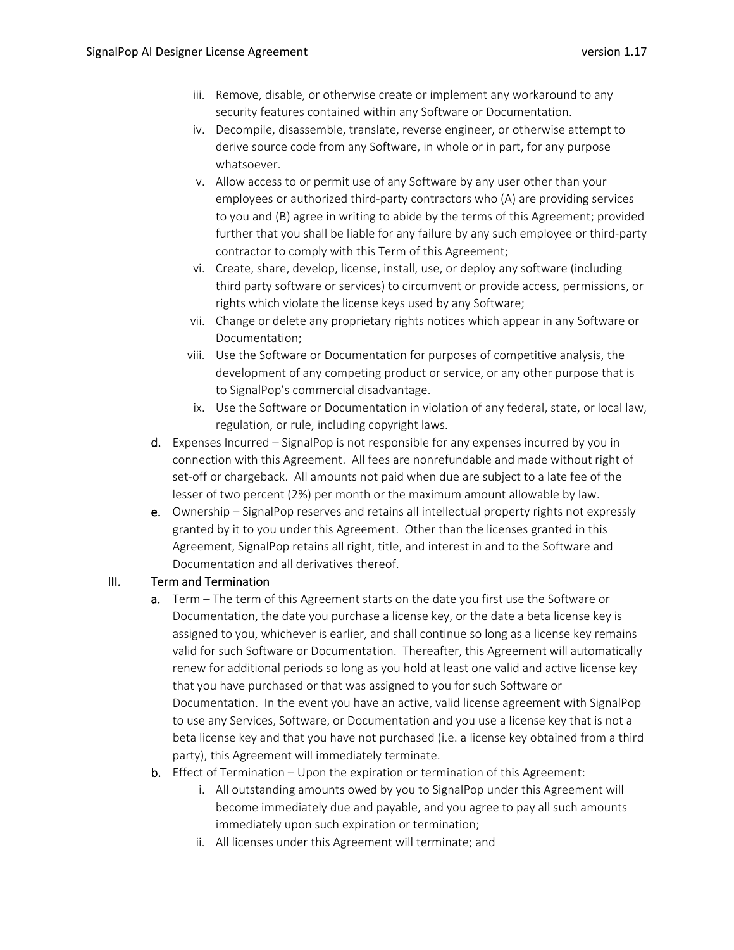- iii. Remove, disable, or otherwise create or implement any workaround to any security features contained within any Software or Documentation.
- iv. Decompile, disassemble, translate, reverse engineer, or otherwise attempt to derive source code from any Software, in whole or in part, for any purpose whatsoever.
- v. Allow access to or permit use of any Software by any user other than your employees or authorized third-party contractors who (A) are providing services to you and (B) agree in writing to abide by the terms of this Agreement; provided further that you shall be liable for any failure by any such employee or third-party contractor to comply with this Term of this Agreement;
- vi. Create, share, develop, license, install, use, or deploy any software (including third party software or services) to circumvent or provide access, permissions, or rights which violate the license keys used by any Software;
- vii. Change or delete any proprietary rights notices which appear in any Software or Documentation;
- viii. Use the Software or Documentation for purposes of competitive analysis, the development of any competing product or service, or any other purpose that is to SignalPop's commercial disadvantage.
- ix. Use the Software or Documentation in violation of any federal, state, or local law, regulation, or rule, including copyright laws.
- d. Expenses Incurred SignalPop is not responsible for any expenses incurred by you in connection with this Agreement. All fees are nonrefundable and made without right of set-off or chargeback. All amounts not paid when due are subject to a late fee of the lesser of two percent (2%) per month or the maximum amount allowable by law.
- e. Ownership SignalPop reserves and retains all intellectual property rights not expressly granted by it to you under this Agreement. Other than the licenses granted in this Agreement, SignalPop retains all right, title, and interest in and to the Software and Documentation and all derivatives thereof.

## III. Term and Termination

- a. Term The term of this Agreement starts on the date you first use the Software or Documentation, the date you purchase a license key, or the date a beta license key is assigned to you, whichever is earlier, and shall continue so long as a license key remains valid for such Software or Documentation. Thereafter, this Agreement will automatically renew for additional periods so long as you hold at least one valid and active license key that you have purchased or that was assigned to you for such Software or Documentation. In the event you have an active, valid license agreement with SignalPop to use any Services, Software, or Documentation and you use a license key that is not a beta license key and that you have not purchased (i.e. a license key obtained from a third party), this Agreement will immediately terminate.
- b. Effect of Termination Upon the expiration or termination of this Agreement:
	- i. All outstanding amounts owed by you to SignalPop under this Agreement will become immediately due and payable, and you agree to pay all such amounts immediately upon such expiration or termination;
	- ii. All licenses under this Agreement will terminate; and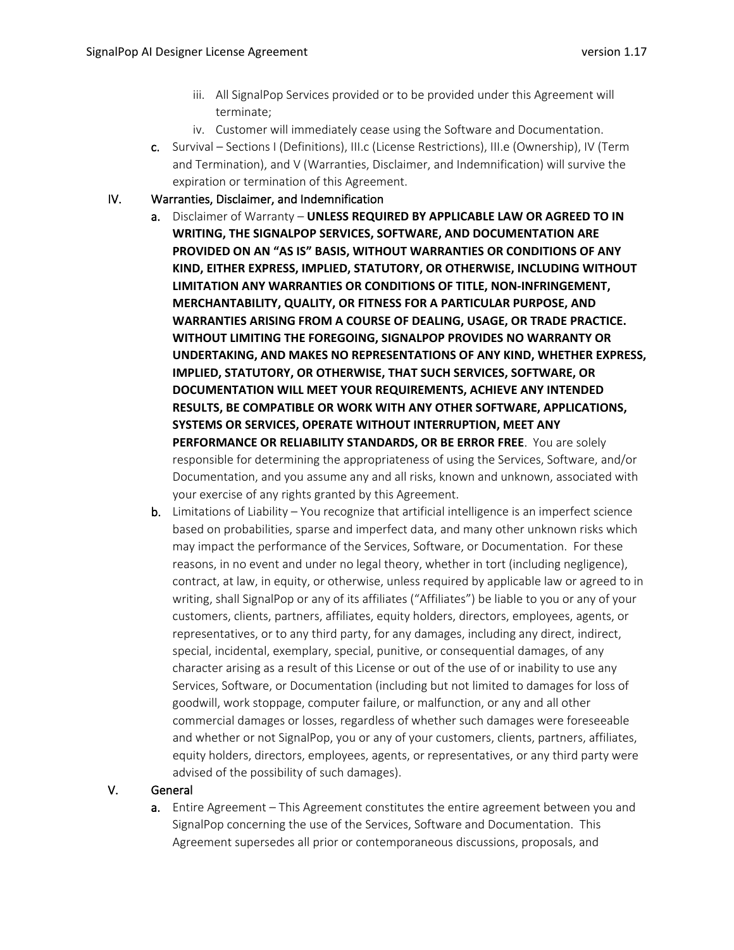- iii. All SignalPop Services provided or to be provided under this Agreement will terminate;
- iv. Customer will immediately cease using the Software and Documentation.
- c. Survival Sections I (Definitions), III.c (License Restrictions), III.e (Ownership), IV (Term and Termination), and V (Warranties, Disclaimer, and Indemnification) will survive the expiration or termination of this Agreement.
- IV. Warranties, Disclaimer, and Indemnification
	- a. Disclaimer of Warranty **UNLESS REQUIRED BY APPLICABLE LAW OR AGREED TO IN WRITING, THE SIGNALPOP SERVICES, SOFTWARE, AND DOCUMENTATION ARE PROVIDED ON AN "AS IS" BASIS, WITHOUT WARRANTIES OR CONDITIONS OF ANY KIND, EITHER EXPRESS, IMPLIED, STATUTORY, OR OTHERWISE, INCLUDING WITHOUT LIMITATION ANY WARRANTIES OR CONDITIONS OF TITLE, NON-INFRINGEMENT, MERCHANTABILITY, QUALITY, OR FITNESS FOR A PARTICULAR PURPOSE, AND WARRANTIES ARISING FROM A COURSE OF DEALING, USAGE, OR TRADE PRACTICE. WITHOUT LIMITING THE FOREGOING, SIGNALPOP PROVIDES NO WARRANTY OR UNDERTAKING, AND MAKES NO REPRESENTATIONS OF ANY KIND, WHETHER EXPRESS, IMPLIED, STATUTORY, OR OTHERWISE, THAT SUCH SERVICES, SOFTWARE, OR DOCUMENTATION WILL MEET YOUR REQUIREMENTS, ACHIEVE ANY INTENDED RESULTS, BE COMPATIBLE OR WORK WITH ANY OTHER SOFTWARE, APPLICATIONS, SYSTEMS OR SERVICES, OPERATE WITHOUT INTERRUPTION, MEET ANY PERFORMANCE OR RELIABILITY STANDARDS, OR BE ERROR FREE**. You are solely responsible for determining the appropriateness of using the Services, Software, and/or Documentation, and you assume any and all risks, known and unknown, associated with your exercise of any rights granted by this Agreement.
	- b. Limitations of Liability You recognize that artificial intelligence is an imperfect science based on probabilities, sparse and imperfect data, and many other unknown risks which may impact the performance of the Services, Software, or Documentation. For these reasons, in no event and under no legal theory, whether in tort (including negligence), contract, at law, in equity, or otherwise, unless required by applicable law or agreed to in writing, shall SignalPop or any of its affiliates ("Affiliates") be liable to you or any of your customers, clients, partners, affiliates, equity holders, directors, employees, agents, or representatives, or to any third party, for any damages, including any direct, indirect, special, incidental, exemplary, special, punitive, or consequential damages, of any character arising as a result of this License or out of the use of or inability to use any Services, Software, or Documentation (including but not limited to damages for loss of goodwill, work stoppage, computer failure, or malfunction, or any and all other commercial damages or losses, regardless of whether such damages were foreseeable and whether or not SignalPop, you or any of your customers, clients, partners, affiliates, equity holders, directors, employees, agents, or representatives, or any third party were advised of the possibility of such damages).

## V. General

a. Entire Agreement – This Agreement constitutes the entire agreement between you and SignalPop concerning the use of the Services, Software and Documentation. This Agreement supersedes all prior or contemporaneous discussions, proposals, and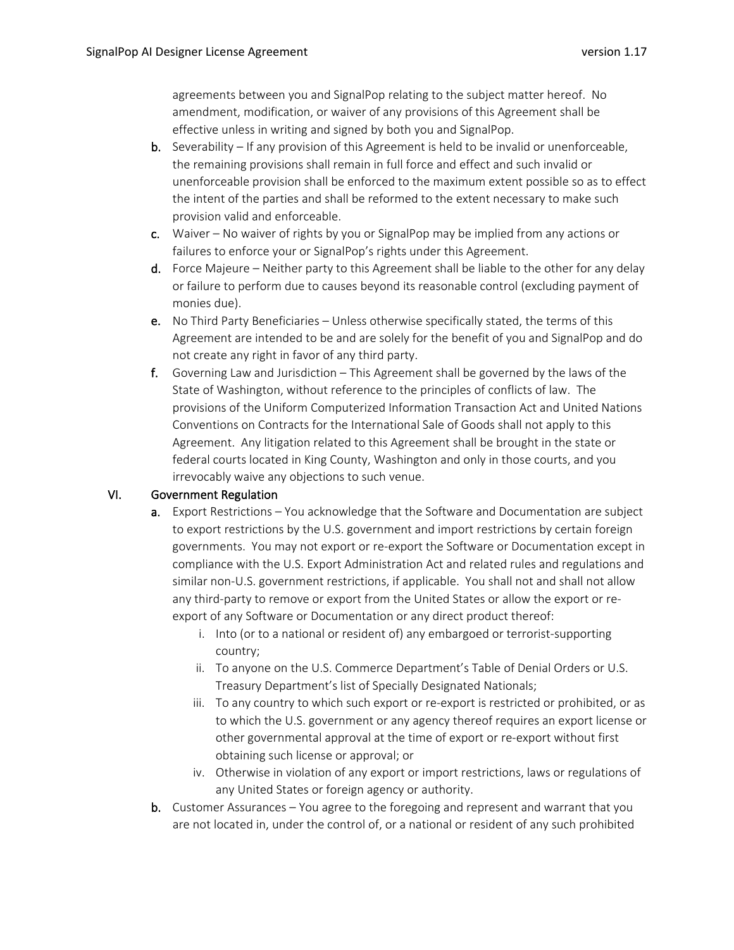agreements between you and SignalPop relating to the subject matter hereof. No amendment, modification, or waiver of any provisions of this Agreement shall be effective unless in writing and signed by both you and SignalPop.

- **b.** Severability If any provision of this Agreement is held to be invalid or unenforceable, the remaining provisions shall remain in full force and effect and such invalid or unenforceable provision shall be enforced to the maximum extent possible so as to effect the intent of the parties and shall be reformed to the extent necessary to make such provision valid and enforceable.
- c. Waiver No waiver of rights by you or SignalPop may be implied from any actions or failures to enforce your or SignalPop's rights under this Agreement.
- d. Force Majeure Neither party to this Agreement shall be liable to the other for any delay or failure to perform due to causes beyond its reasonable control (excluding payment of monies due).
- e. No Third Party Beneficiaries Unless otherwise specifically stated, the terms of this Agreement are intended to be and are solely for the benefit of you and SignalPop and do not create any right in favor of any third party.
- f. Governing Law and Jurisdiction This Agreement shall be governed by the laws of the State of Washington, without reference to the principles of conflicts of law. The provisions of the Uniform Computerized Information Transaction Act and United Nations Conventions on Contracts for the International Sale of Goods shall not apply to this Agreement. Any litigation related to this Agreement shall be brought in the state or federal courts located in King County, Washington and only in those courts, and you irrevocably waive any objections to such venue.

### VI. Government Regulation

- a. Export Restrictions You acknowledge that the Software and Documentation are subject to export restrictions by the U.S. government and import restrictions by certain foreign governments. You may not export or re-export the Software or Documentation except in compliance with the U.S. Export Administration Act and related rules and regulations and similar non-U.S. government restrictions, if applicable. You shall not and shall not allow any third-party to remove or export from the United States or allow the export or reexport of any Software or Documentation or any direct product thereof:
	- i. Into (or to a national or resident of) any embargoed or terrorist-supporting country;
	- ii. To anyone on the U.S. Commerce Department's Table of Denial Orders or U.S. Treasury Department's list of Specially Designated Nationals;
	- iii. To any country to which such export or re-export is restricted or prohibited, or as to which the U.S. government or any agency thereof requires an export license or other governmental approval at the time of export or re-export without first obtaining such license or approval; or
	- iv. Otherwise in violation of any export or import restrictions, laws or regulations of any United States or foreign agency or authority.
- b. Customer Assurances You agree to the foregoing and represent and warrant that you are not located in, under the control of, or a national or resident of any such prohibited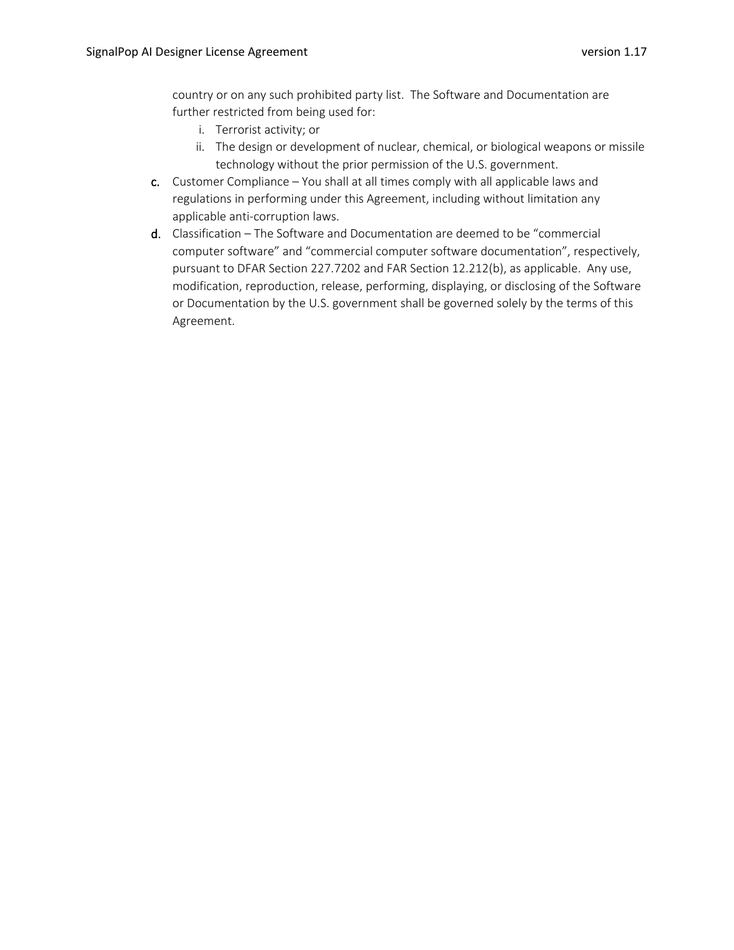country or on any such prohibited party list. The Software and Documentation are further restricted from being used for:

- i. Terrorist activity; or
- ii. The design or development of nuclear, chemical, or biological weapons or missile technology without the prior permission of the U.S. government.
- c. Customer Compliance You shall at all times comply with all applicable laws and regulations in performing under this Agreement, including without limitation any applicable anti-corruption laws.
- d. Classification The Software and Documentation are deemed to be "commercial computer software" and "commercial computer software documentation", respectively, pursuant to DFAR Section 227.7202 and FAR Section 12.212(b), as applicable. Any use, modification, reproduction, release, performing, displaying, or disclosing of the Software or Documentation by the U.S. government shall be governed solely by the terms of this Agreement.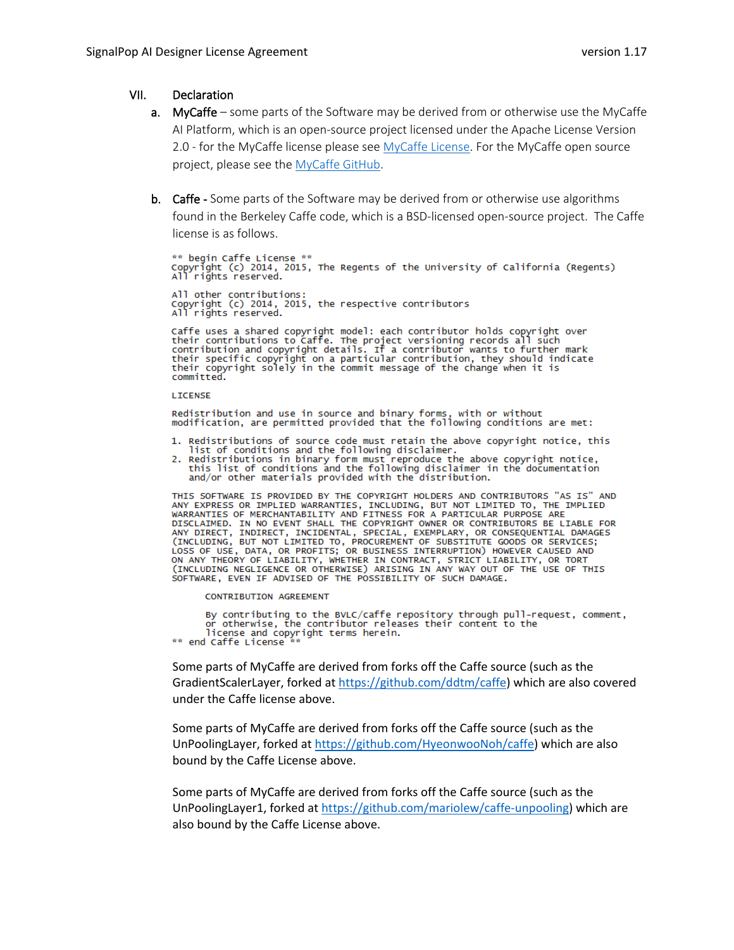### VII. Declaration

- a. MyCaffe some parts of the Software may be derived from or otherwise use the MyCaffe AI Platform, which is an open-source project licensed under the Apache License Version 2.0 - for the MyCaffe license please see [MyCaffe License.](https://github.com/MyCaffe/MyCaffe/blob/master/LICENSE) For the MyCaffe open source project, please see the [MyCaffe GitHub.](https://github.com/MyCaffe/MyCaffe/blob/master/LICENSE)
- b. Caffe Some parts of the Software may be derived from or otherwise use algorithms found in the Berkeley Caffe code, which is a BSD-licensed open-source project. The Caffe license is as follows.

\*\* begin Caffe License \*\*<br>Copyright (c) 2014, 2015, The Regents of the University of California (Regents)<br>All rights reserved. All other contributions:<br>Copyright (c) 2014, 2015, the respective contributors<br>All rights reserved.

Caffe uses a shared copyright model: each contributor holds copyright over<br>their contributions to Caffe. The project versioning records all such<br>contribution and copyright details. If a contributor wants to further mark<br>th committed.

#### LICENSE

Redistribution and use in source and binary forms, with or without<br>modification, are permitted provided that the following conditions are met:

- 1. Redistributions of source code must retain the above copyright notice, this 1. Next reflections of source that the following disclaimer.<br>2. Redistributions in binary form must reproduce the above copyright notice,
- this list of conditions and the following disclaimer in the documentation<br>and/or other materials provided with the distribution.

THIS SOFTWARE IS PROVIDED BY THE COPYRIGHT HOLDERS AND CONTRIBUTORS "AS IS" AND ANY EXPRESS OR IMPLIED WARRANTIES, INCLUDING, BUT NOT LIMITED TO, THE IMPLIED WARRANTIES OF MERCHANTABILITY AND FITNESS FOR A PARTICULAR PURPO SOFTWARE, EVEN IF ADVISED OF THE POSSIBILITY OF SUCH DAMAGE.

#### **CONTRIBUTION AGREEMENT**

By contributing to the BVLC/caffe repository through pull-request, comment,<br>or otherwise, the contributor releases their content to the license and copyright terms herein.

\*\* end Caffe License

Some parts of MyCaffe are derived from forks off the Caffe source (such as the GradientScalerLayer, forked a[t https://github.com/ddtm/caffe\)](https://github.com/ddtm/caffe) which are also covered under the Caffe license above.

Some parts of MyCaffe are derived from forks off the Caffe source (such as the UnPoolingLayer, forked a[t https://github.com/HyeonwooNoh/caffe\)](https://github.com/HyeonwooNoh/caffe) which are also bound by the Caffe License above.

Some parts of MyCaffe are derived from forks off the Caffe source (such as the UnPoolingLayer1, forked at [https://github.com/mariolew/caffe-unpooling\)](https://github.com/mariolew/caffe-unpooling) which are also bound by the Caffe License above.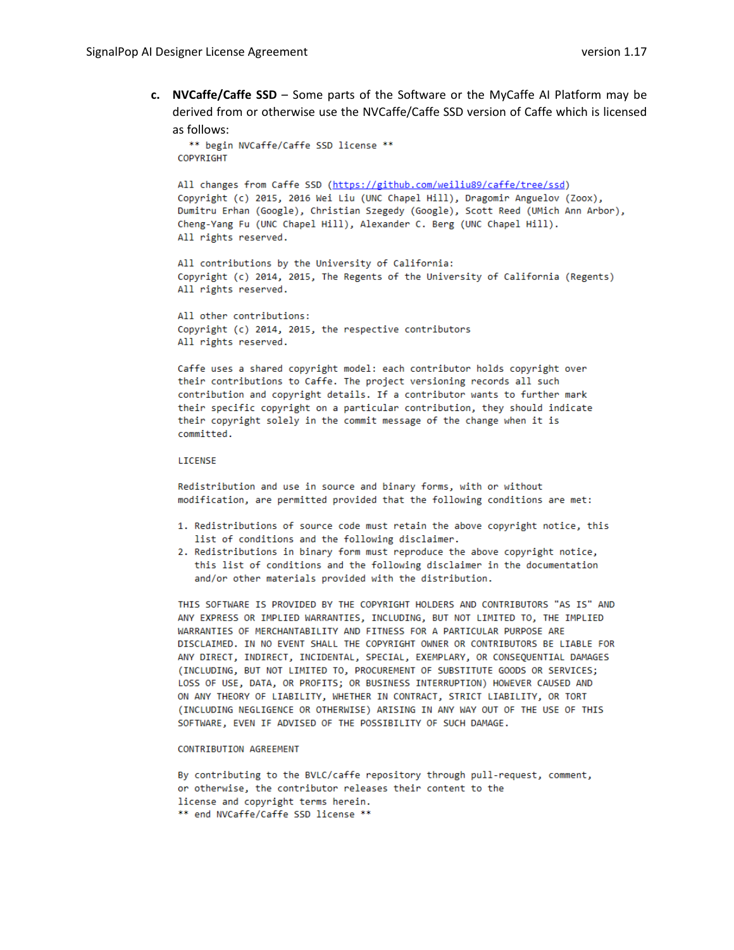**c. NVCaffe/Caffe SSD** – Some parts of the Software or the MyCaffe AI Platform may be derived from or otherwise use the NVCaffe/Caffe SSD version of Caffe which is licensed as follows:

```
** begin NVCaffe/Caffe SSD license **
COPYRIGHT
```
All changes from Caffe SSD (https://github.com/weiliu89/caffe/tree/ssd) Copyright (c) 2015, 2016 Wei Liu (UNC Chapel Hill), Dragomir Anguelov (Zoox), Dumitru Erhan (Google), Christian Szegedy (Google), Scott Reed (UMich Ann Arbor), Cheng-Yang Fu (UNC Chapel Hill), Alexander C. Berg (UNC Chapel Hill). All rights reserved.

All contributions by the University of California: Copyright (c) 2014, 2015, The Regents of the University of California (Regents) All rights reserved.

All other contributions: Copyright (c) 2014, 2015, the respective contributors All rights reserved.

Caffe uses a shared copyright model: each contributor holds copyright over their contributions to Caffe. The project versioning records all such contribution and copyright details. If a contributor wants to further mark their specific copyright on a particular contribution, they should indicate their copyright solely in the commit message of the change when it is committed.

### LICENSE

Redistribution and use in source and binary forms, with or without modification, are permitted provided that the following conditions are met:

- 1. Redistributions of source code must retain the above copyright notice, this list of conditions and the following disclaimer.
- 2. Redistributions in binary form must reproduce the above copyright notice, this list of conditions and the following disclaimer in the documentation and/or other materials provided with the distribution.

THIS SOFTWARE IS PROVIDED BY THE COPYRIGHT HOLDERS AND CONTRIBUTORS "AS IS" AND ANY EXPRESS OR IMPLIED WARRANTIES, INCLUDING, BUT NOT LIMITED TO, THE IMPLIED WARRANTIES OF MERCHANTABILITY AND FITNESS FOR A PARTICULAR PURPOSE ARE DISCLAIMED. IN NO EVENT SHALL THE COPYRIGHT OWNER OR CONTRIBUTORS BE LIABLE FOR ANY DIRECT, INDIRECT, INCIDENTAL, SPECIAL, EXEMPLARY, OR CONSEQUENTIAL DAMAGES (INCLUDING, BUT NOT LIMITED TO, PROCUREMENT OF SUBSTITUTE GOODS OR SERVICES; LOSS OF USE, DATA, OR PROFITS; OR BUSINESS INTERRUPTION) HOWEVER CAUSED AND ON ANY THEORY OF LIABILITY, WHETHER IN CONTRACT, STRICT LIABILITY, OR TORT (INCLUDING NEGLIGENCE OR OTHERWISE) ARISING IN ANY WAY OUT OF THE USE OF THIS SOFTWARE, EVEN IF ADVISED OF THE POSSIBILITY OF SUCH DAMAGE.

#### CONTRIBUTION AGREEMENT

By contributing to the BVLC/caffe repository through pull-request, comment, or otherwise, the contributor releases their content to the license and copyright terms herein. \*\* end NVCaffe/Caffe SSD license \*\*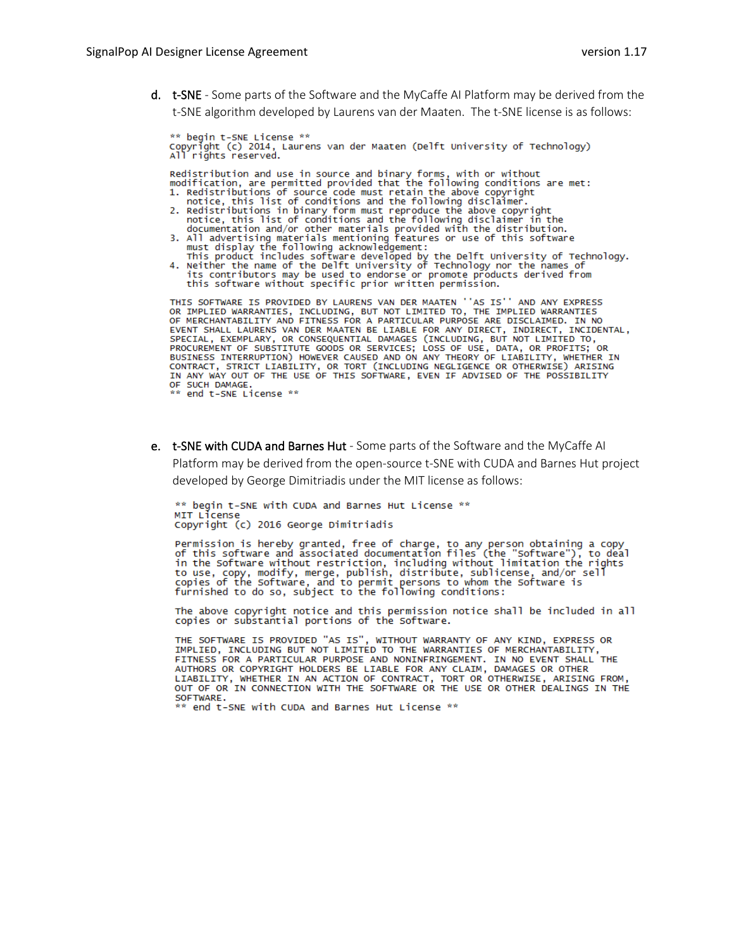d. t-SNE - Some parts of the Software and the MyCaffe AI Platform may be derived from the t-SNE algorithm developed by Laurens van der Maaten. The t-SNE license is as follows:

\*\* begin t-SNE License \*\*<br>Copyright (c) 2014, Laurens van der Maaten (Delft University of Technology)<br>All rights reserved. \*\* begin t-SNE License \*\* Redistribution and use in source and binary forms, with or without<br>modification, are permitted provided that the following conditions are met: 1. Redistributions of source code must retain the above copyright<br>notice, this list of conditions and the following disclaimer. notice, this list of conditions and the following disclaimer.<br>2. Redistributions in binary form must reproduce the above copyright<br>notice, this list of conditions and the following disclaimer in the<br>documentation and/or ot must display the following acknowledgement:<br>This product includes software developed by the Delft University of Technology.<br>4. Neither the name of the Delft University of Technology nor the names of its contributors may be used to endorse or promote products derived from this software without specific prior written permission. THIS SOFTWARE IS PROVIDED BY LAURENS VAN DER MAATEN ''AS IS'' AND ANY EXPRESS THIS SOFTWARE IS PROVIDED BY LANGENS VAN DER MAATED TO, THE IMPLIED WARRANTIES<br>OF IMPLIED WARRANTIES, INCLUDING, BUT NOT LIMITED TO, THE IMPLIED WARRANTIES<br>OF MERCHANTABILITY AND FITNESS FOR A PARTICULAR PURPOSE ARE DISCLA INCIDENTAL. PROCUREMENT OF SUBSTITUTE GOODS OR SERVICES; LOSS OF USE, DATA, OR PROFITS; OR BUSTING CONTRACT, STRICT LIABLY, OR TORT (INCLUDING NEGLIGENCE OR OTHERWISE) ARISING CONTRACT, STRICT LIABLY, OR TORT (INCLUDING NEGLIGENCE OR

- 
- e. t-SNE with CUDA and Barnes Hut Some parts of the Software and the MyCaffe AI

Platform may be derived from the open-source t-SNE with CUDA and Barnes Hut project developed by George Dimitriadis under the MIT license as follows:

\*\* begin t-SNE with CUDA and Barnes Hut License \*\* MIT License Copyright (c) 2016 George Dimitriadis

Permission is hereby granted, free of charge, to any person obtaining a copy<br>of this software and associated documentation files (the "Software"), to deal or this software without restriction, including without limitation the rights<br>to use, copy, modify, merge, publish, distribute, sublicense, and/or sell<br>copies of the Software, and to permit persons to whom the Software is<br>

The above copyright notice and this permission notice shall be included in all copies or substantial portions of the Software.

THE SOFTWARE IS PROVIDED "AS IS", WITHOUT WARRANTY OF ANY KIND, EXPRESS OR<br>IMPLIED, INCLUDING BUT NOT LIMITED TO THE WARRANTIES OF MERCHANTABILITY, FITNESS FOR A PARTICULAR PURPOSE AND NONINFRINGEMENT. IN NO EVENT SHALL THE AUTHORS OR COPYRIGHT HOLDERS BE LIABLE FOR ANY CLAIM, DAMAGES OR OTHER LIABILITY, WHETHER IN AN ACTION OF CONTRACT, TORT OR OTHERWISE, ARISING FROM,<br>OUT OF OR IN CONNECTION WITH THE SOFTWARE OR THE USE OR OTHER DEALINGS IN THE SOFTWARE.

\* end t-SNE with CUDA and Barnes Hut License \*\*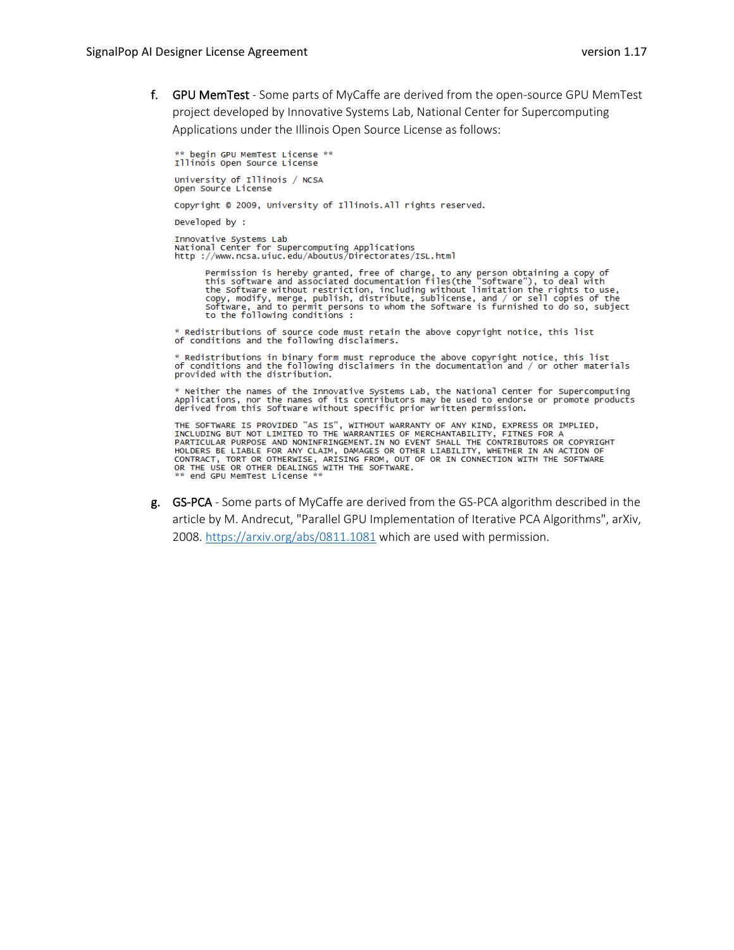f. GPU MemTest - Some parts of MyCaffe are derived from the open-source GPU MemTest project developed by Innovative Systems Lab, National Center for Supercomputing Applications under the Illinois Open Source License as follows:

\*\* begin GPU MemTest License \*\*<br>Illinois Open Source License University of Illinois / NCSA Open Source License Copyright © 2009, University of Illinois.All rights reserved. Developed by : Innovative Systems Lab<br>National Center for Supercomputing Applications<br>http ://www.ncsa.uiuc.edu/AboutUs/Directorates/ISL.html

Permission is hereby granted, free of charge, to any person obtaining a copy of<br>this software and associated documentation files(the "software"), to deal with<br>the Software without restriction, including without limitation

\* Redistributions of source code must retain the above copyright notice, this list of conditions and the following disclaimers.

 $*$  Redistributions in binary form must reproduce the above copyright notice, this list<br>of conditions and the following disclaimers in the documentation and / or other materials<br>provided with the distribution.

\* Neither the names of the Innovative Systems Lab, the National Center for Supercomputing<br>Applications, nor the names of its contributors may be used to endorse or promote products<br>derived from this Software without specif

THE SOFTWARE IS PROVIDED "AS IS", WITHOUT WARRANTY OF ANY KIND, EXPRESS OR IMPLIED,<br>INCLUDING BUT NOT LIMITED TO THE WARRANTIES OF MERCHANTABILITY, FITNES FOR A<br>PARTICULAR PURPOSE AND NONINFRINGEMENT.IN NO EVENT SHALL THE CONTRACT, TORT OR OTHERWISE, ARISING FROM, OUT OF OR IN CONNECTION WITH THE SOFTWARE<br>OR THE USE OR OTHER DEALINGS WITH THE SOFTWARE.<br>\*\* end GPU MemTest License \*\*

g. GS-PCA - Some parts of MyCaffe are derived from the GS-PCA algorithm described in the article by M. Andrecut, "Parallel GPU Implementation of Iterative PCA Algorithms", arXiv, 2008.<https://arxiv.org/abs/0811.1081> which are used with permission.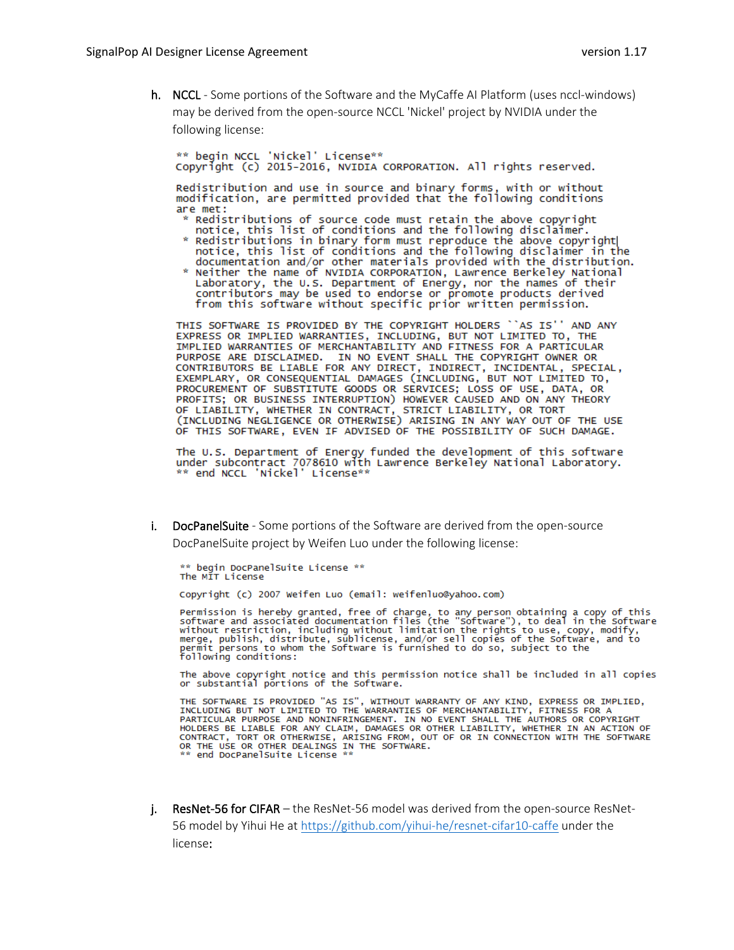h. NCCL - Some portions of the Software and the MyCaffe AI Platform (uses nccl-windows) may be derived from the open-source NCCL 'Nickel' project by NVIDIA under the following license:

\*\* begin NCCL 'Nickel' License\*\* Copyright (c) 2015-2016, NVIDIA CORPORATION, All rights reserved.

Redistribution and use in source and binary forms, with or without modification, are permitted provided that the following conditions are met:

- \* Redistributions of source code must retain the above copyright notice, this list of conditions and the following disclaimer.
- Redistributions in binary form must reproduce the above copyright<br>notice, this list of conditions and the following disclaimer in the<br>documentation and/or other materials provided with the distribution.
- Example of NVIDIA CORPORATION, Lawrence Berkeley National<br>Laboratory, the U.S. Department of Energy, nor the names of their contributors may be used to endorse or promote products derived from this software without specific prior written permission.

THIS SOFTWARE IS PROVIDED BY THE COPYRIGHT HOLDERS 'AS IS'' AND ANY EXPRESS OR IMPLIED WARRANTIES, INCLUDING, BUT NOT LIMITED TO, THE<br>IMPLIED WARRANTIES OF MERCHANTABILITY AND FITNESS FOR A PARTICULAR PURPOSE ARE DISCLAIMED. IN NO EVENT SHALL THE COPYRIGHT OWNER OR CONTRIBUTORS BE LIABLE FOR ANY DIRECT, INDIRECT, INCIDENTAL, SPECIAL, EXEMPLARY, OR CONSEQUENTIAL DAMAGES (INCLUDING, BUT NOT LIMITED TO, PROCUREMENT OF SUBSTITUTE GOODS OR SERVICES; LOSS OF USE, DATA, OR PROFITS; OR BUSINESS INTERRUPTION) HOWEVER CAUSED AND ON ANY THEORY<br>OF LIABILITY, WHETHER IN CONTRACT, STRICT LIABILITY, OR TORT<br>(INCLUDING NEGLIGENCE OR OTHERWISE) ARISING IN ANY WAY OUT OF THE USE OF THIS SOFTWARE. EVEN IF ADVISED OF THE POSSIBILITY OF SUCH DAMAGE.

The U.S. Department of Energy funded the development of this software under subcontract 7078610 with Lawrence Berkeley National Laboratory. \*\* end NCCL 'Nickel' License\*\*

i. DocPanelSuite - Some portions of the Software are derived from the open-source DocPanelSuite project by Weifen Luo under the following license:

\*\* begin DocPanelSuite License \*\* The MIT License

Copyright (c) 2007 Weifen Luo (email: weifenluo@yahoo.com)

Permission is hereby granted, free of charge, to any person obtaining a copy of this software and associated documentation files (the "software"), to deal in the software without restriction, including without limitation t

The above copyright notice and this permission notice shall be included in all copies or substantial portions of the Software.

THE SOFTWARE IS PROVIDED "AS IS", WITHOUT WARRANTY OF ANY KIND, EXPRESS OR IMPLIED,<br>INCLUDING BUT NOT LIMITED TO THE WARRANTIES OF MERCHANTABILITY, FITNESS FOR A<br>PARTICULAR PURPOSE AND NONINFRINGEMENT. IN NO EVENT SHALL TH PARTICULAR PURPOSE AND NONINFRINGEMENT. IN NO EVENT SHALL THE AUTHORS OR COPYRIGHT<br>HOLDERS BE LIABLE FOR ANY CLAIM, DAMAGES OR OTHER LIABILITY, WHETHER IN AN ACTION OF<br>CONTRACT, TORT OR OTHERWISE, ARISING FROM, OUT OF OR I

j. ResNet-56 for CIFAR – the ResNet-56 model was derived from the open-source ResNet-56 model by Yihui He at<https://github.com/yihui-he/resnet-cifar10-caffe>under the license: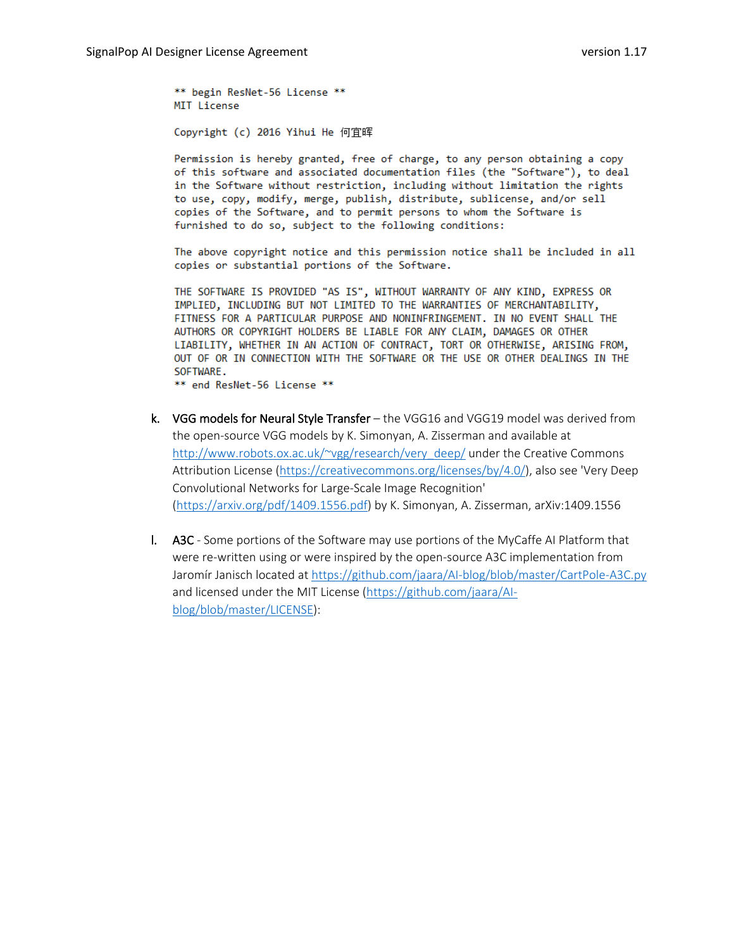\*\* begin ResNet-56 License \*\* MIT License

Copyright (c) 2016 Yihui He 何宜晖

Permission is hereby granted, free of charge, to any person obtaining a copy of this software and associated documentation files (the "Software"), to deal in the Software without restriction, including without limitation the rights to use, copy, modify, merge, publish, distribute, sublicense, and/or sell copies of the Software, and to permit persons to whom the Software is furnished to do so, subject to the following conditions:

The above copyright notice and this permission notice shall be included in all copies or substantial portions of the Software.

THE SOFTWARE IS PROVIDED "AS IS", WITHOUT WARRANTY OF ANY KIND, EXPRESS OR IMPLIED, INCLUDING BUT NOT LIMITED TO THE WARRANTIES OF MERCHANTABILITY, FITNESS FOR A PARTICULAR PURPOSE AND NONINFRINGEMENT. IN NO EVENT SHALL THE AUTHORS OR COPYRIGHT HOLDERS BE LIABLE FOR ANY CLAIM, DAMAGES OR OTHER LIABILITY, WHETHER IN AN ACTION OF CONTRACT, TORT OR OTHERWISE, ARISING FROM, OUT OF OR IN CONNECTION WITH THE SOFTWARE OR THE USE OR OTHER DEALINGS IN THE SOFTWARE.

\*\* end ResNet-56 License \*\*

- k. VGG models for Neural Style Transfer the VGG16 and VGG19 model was derived from the open-source VGG models by K. Simonyan, A. Zisserman and available at [http://www.robots.ox.ac.uk/~vgg/research/very\\_deep/](http://www.robots.ox.ac.uk/%7Evgg/research/very_deep/) under the Creative Commons Attribution License [\(https://creativecommons.org/licenses/by/4.0/\)](https://creativecommons.org/licenses/by/4.0/), also see 'Very Deep Convolutional Networks for Large-Scale Image Recognition' [\(https://arxiv.org/pdf/1409.1556.pdf\)](https://arxiv.org/pdf/1409.1556.pdf) by K. Simonyan, A. Zisserman, arXiv:1409.1556
- l. A3C Some portions of the Software may use portions of the MyCaffe AI Platform that were re-written using or were inspired by the open-source A3C implementation from Jaromír Janisch located at<https://github.com/jaara/AI-blog/blob/master/CartPole-A3C.py> and licensed under the MIT License [\(https://github.com/jaara/AI](https://github.com/jaara/AI-blog/blob/master/LICENSE)[blog/blob/master/LICENSE\)](https://github.com/jaara/AI-blog/blob/master/LICENSE):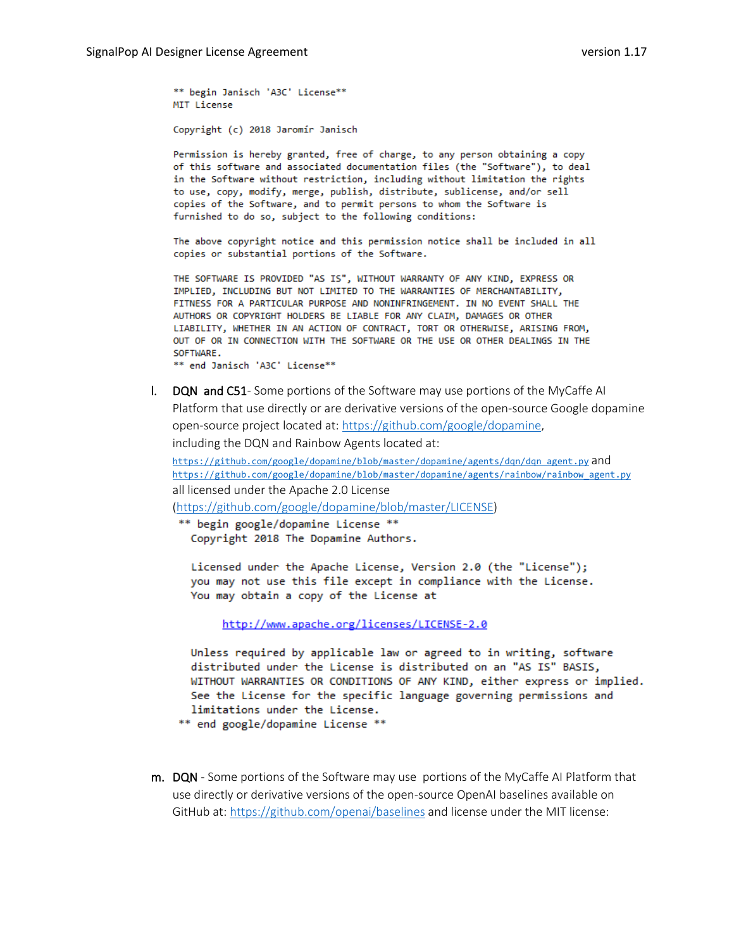\*\* begin Janisch 'A3C' License\*\* MIT License

Copyright (c) 2018 Jaromír Janisch

Permission is hereby granted, free of charge, to any person obtaining a copy of this software and associated documentation files (the "Software"), to deal in the Software without restriction, including without limitation the rights to use, copy, modify, merge, publish, distribute, sublicense, and/or sell copies of the Software, and to permit persons to whom the Software is furnished to do so, subject to the following conditions:

The above copyright notice and this permission notice shall be included in all copies or substantial portions of the Software.

THE SOFTWARE IS PROVIDED "AS IS", WITHOUT WARRANTY OF ANY KIND, EXPRESS OR IMPLIED, INCLUDING BUT NOT LIMITED TO THE WARRANTIES OF MERCHANTABILITY, FITNESS FOR A PARTICULAR PURPOSE AND NONINFRINGEMENT. IN NO EVENT SHALL THE AUTHORS OR COPYRIGHT HOLDERS BE LIABLE FOR ANY CLAIM, DAMAGES OR OTHER LIABILITY, WHETHER IN AN ACTION OF CONTRACT, TORT OR OTHERWISE, ARISING FROM, OUT OF OR IN CONNECTION WITH THE SOFTWARE OR THE USE OR OTHER DEALINGS IN THE SOFTWARE.

\*\* end Janisch 'A3C' License\*\*

l. DQN and C51- Some portions of the Software may use portions of the MyCaffe AI Platform that use directly or are derivative versions of the open-source Google dopamine open-source project located at: [https://github.com/google/dopamine,](https://github.com/google/dopamine) including the DQN and Rainbow Agents located at:

[https://github.com/google/dopamine/blob/master/dopamine/agents/dqn/dqn\\_agent.py](https://github.com/google/dopamine/blob/master/dopamine/agents/dqn/dqn_agent.py) and [https://github.com/google/dopamine/blob/master/dopamine/agents/rainbow/rainbow\\_agent.py](https://github.com/google/dopamine/blob/master/dopamine/agents/rainbow/rainbow_agent.py) all licensed under the Apache 2.0 License

[\(https://github.com/google/dopamine/blob/master/LICENSE\)](https://github.com/google/dopamine/blob/master/LICENSE)

\*\* begin google/dopamine License \*\* Copyright 2018 The Dopamine Authors.

Licensed under the Apache License, Version 2.0 (the "License"); you may not use this file except in compliance with the License. You may obtain a copy of the License at

http://www.apache.org/licenses/LICENSE-2.0

Unless required by applicable law or agreed to in writing, software distributed under the License is distributed on an "AS IS" BASIS, WITHOUT WARRANTIES OR CONDITIONS OF ANY KIND, either express or implied. See the License for the specific language governing permissions and limitations under the License.

\*\* end google/dopamine License \*\*

m. DQN - Some portions of the Software may use portions of the MyCaffe AI Platform that use directly or derivative versions of the open-source OpenAI baselines available on GitHub at:<https://github.com/openai/baselines> and license under the MIT license: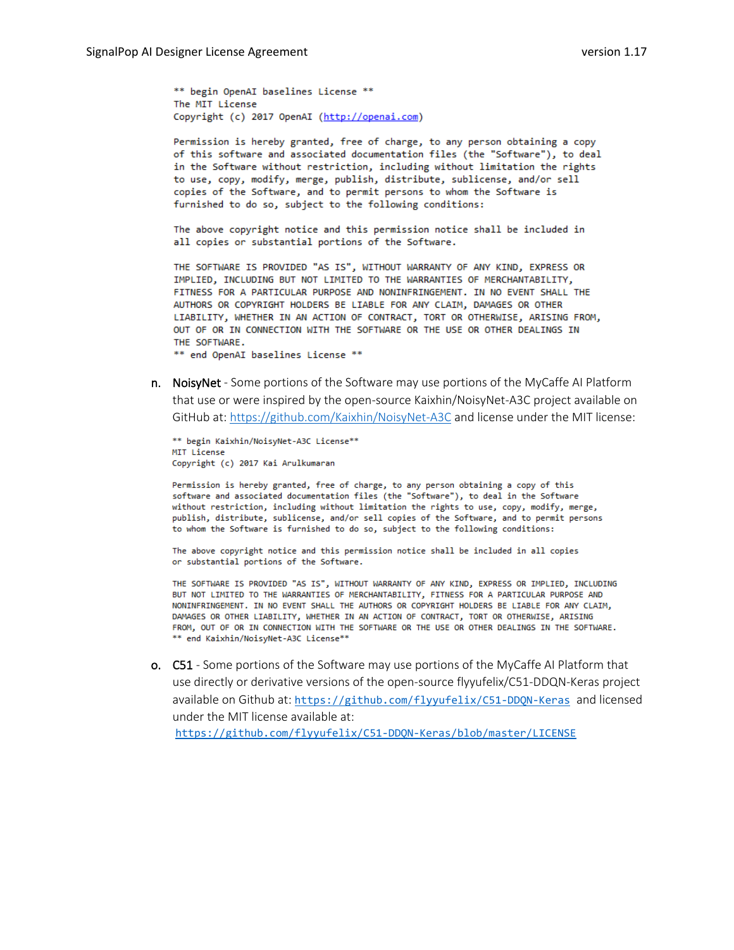\*\* begin OpenAI baselines License \*\* The MIT License Copyright (c) 2017 OpenAI (http://openai.com)

Permission is hereby granted, free of charge, to any person obtaining a copy of this software and associated documentation files (the "Software"), to deal in the Software without restriction, including without limitation the rights to use, copy, modify, merge, publish, distribute, sublicense, and/or sell copies of the Software, and to permit persons to whom the Software is furnished to do so, subject to the following conditions:

The above copyright notice and this permission notice shall be included in all copies or substantial portions of the Software.

THE SOFTWARE IS PROVIDED "AS IS", WITHOUT WARRANTY OF ANY KIND, EXPRESS OR IMPLIED, INCLUDING BUT NOT LIMITED TO THE WARRANTIES OF MERCHANTABILITY, FITNESS FOR A PARTICULAR PURPOSE AND NONINFRINGEMENT. IN NO EVENT SHALL THE AUTHORS OR COPYRIGHT HOLDERS BE LIABLE FOR ANY CLAIM, DAMAGES OR OTHER LIABILITY, WHETHER IN AN ACTION OF CONTRACT, TORT OR OTHERWISE, ARISING FROM, OUT OF OR IN CONNECTION WITH THE SOFTWARE OR THE USE OR OTHER DEALINGS IN THE SOFTWARE.

\*\* end OpenAI baselines License \*\*

n. NoisyNet - Some portions of the Software may use portions of the MyCaffe AI Platform that use or were inspired by the open-source Kaixhin/NoisyNet-A3C project available on GitHub at:<https://github.com/Kaixhin/NoisyNet-A3C> and license under the MIT license:

\*\* begin Kaixhin/NoisyNet-A3C License\*\* MIT License Copyright (c) 2017 Kai Arulkumaran

Permission is hereby granted, free of charge, to any person obtaining a copy of this software and associated documentation files (the "Software"), to deal in the Software without restriction, including without limitation the rights to use, copy, modify, merge, publish, distribute, sublicense, and/or sell copies of the Software, and to permit persons to whom the Software is furnished to do so, subject to the following conditions:

The above copyright notice and this permission notice shall be included in all copies or substantial portions of the Software.

THE SOFTWARE IS PROVIDED "AS IS", WITHOUT WARRANTY OF ANY KIND, EXPRESS OR IMPLIED, INCLUDING BUT NOT LIMITED TO THE WARRANTIES OF MERCHANTABILITY, FITNESS FOR A PARTICULAR PURPOSE AND NONINFRINGEMENT. IN NO EVENT SHALL THE AUTHORS OR COPYRIGHT HOLDERS BE LIABLE FOR ANY CLAIM, DAMAGES OR OTHER LIABILITY, WHETHER IN AN ACTION OF CONTRACT, TORT OR OTHERWISE, ARISING FROM, OUT OF OR IN CONNECTION WITH THE SOFTWARE OR THE USE OR OTHER DEALINGS IN THE SOFTWARE. \*\* end Kaixhin/NoisyNet-A3C License\*\*

o. C51 - Some portions of the Software may use portions of the MyCaffe AI Platform that use directly or derivative versions of the open-source flyyufelix/C51-DDQN-Keras project available on Github at: <https://github.com/flyyufelix/C51-DDQN-Keras> and licensed under the MIT license available at:

<https://github.com/flyyufelix/C51-DDQN-Keras/blob/master/LICENSE>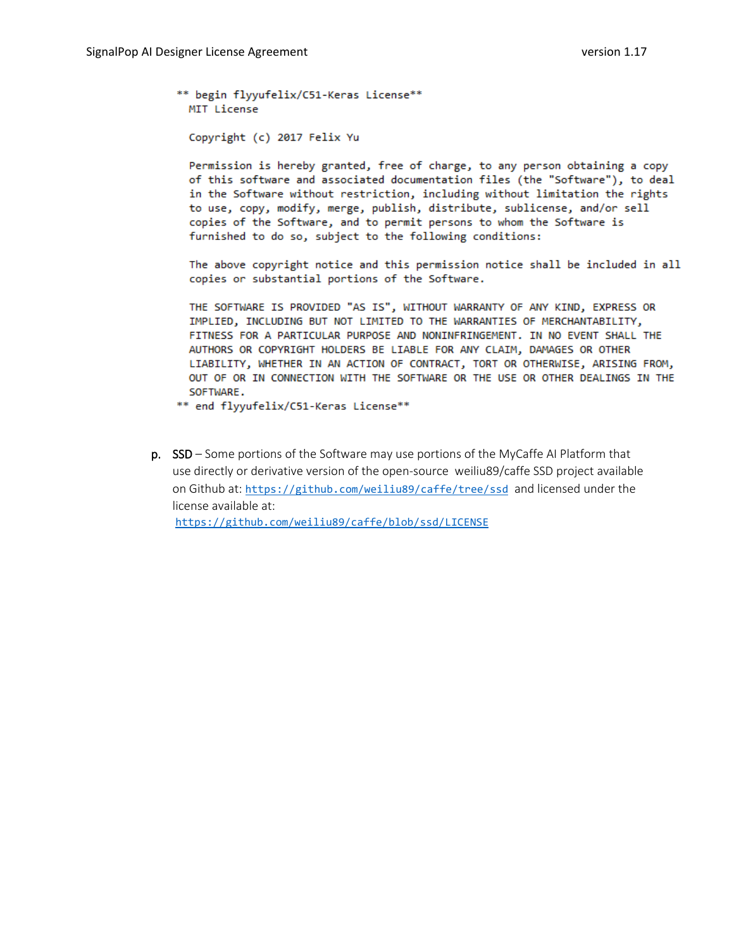```
** begin flyyufelix/C51-Keras License**
 MIT License
```
Copyright (c) 2017 Felix Yu

Permission is hereby granted, free of charge, to any person obtaining a copy of this software and associated documentation files (the "Software"), to deal in the Software without restriction, including without limitation the rights to use, copy, modify, merge, publish, distribute, sublicense, and/or sell copies of the Software, and to permit persons to whom the Software is furnished to do so, subject to the following conditions:

The above copyright notice and this permission notice shall be included in all copies or substantial portions of the Software.

THE SOFTWARE IS PROVIDED "AS IS", WITHOUT WARRANTY OF ANY KIND, EXPRESS OR IMPLIED, INCLUDING BUT NOT LIMITED TO THE WARRANTIES OF MERCHANTABILITY, FITNESS FOR A PARTICULAR PURPOSE AND NONINFRINGEMENT. IN NO EVENT SHALL THE AUTHORS OR COPYRIGHT HOLDERS BE LIABLE FOR ANY CLAIM, DAMAGES OR OTHER LIABILITY, WHETHER IN AN ACTION OF CONTRACT, TORT OR OTHERWISE, ARISING FROM, OUT OF OR IN CONNECTION WITH THE SOFTWARE OR THE USE OR OTHER DEALINGS IN THE SOFTWARE.

\*\* end flyyufelix/C51-Keras License\*\*

p. SSD – Some portions of the Software may use portions of the MyCaffe AI Platform that use directly or derivative version of the open-source weiliu89/caffe SSD project available on Github at: <https://github.com/weiliu89/caffe/tree/ssd> and licensed under the license available at: <https://github.com/weiliu89/caffe/blob/ssd/LICENSE>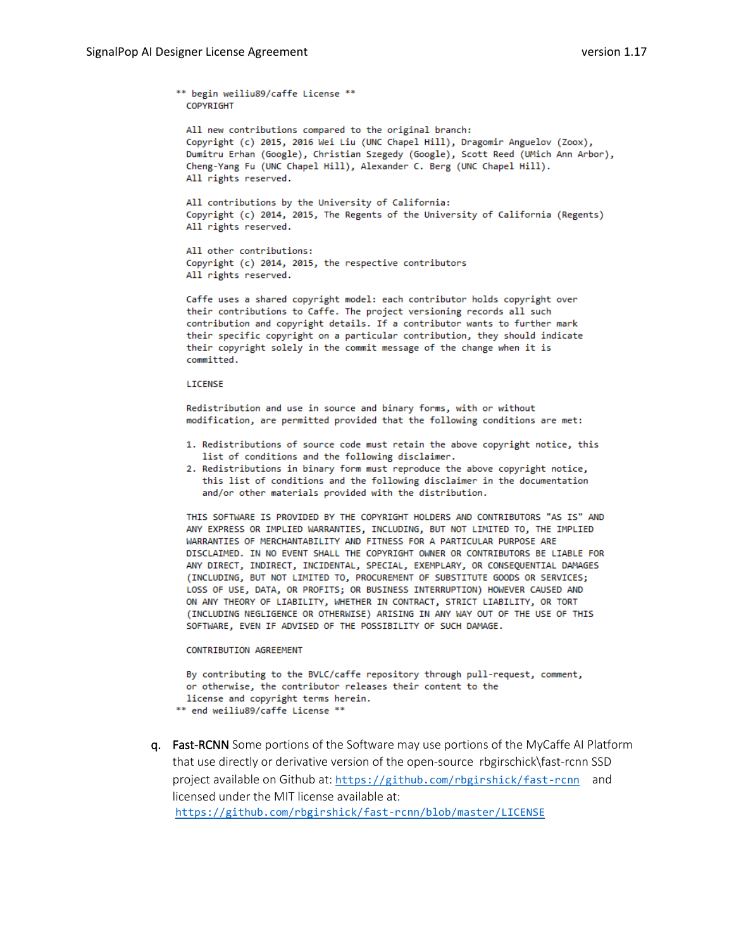\*\* begin weiliu89/caffe License \*\*

COPYRIGHT All new contributions compared to the original branch: Copyright (c) 2015, 2016 Wei Liu (UNC Chapel Hill), Dragomir Anguelov (Zoox), Dumitru Erhan (Google), Christian Szegedy (Google), Scott Reed (UMich Ann Arbor), Cheng-Yang Fu (UNC Chapel Hill), Alexander C. Berg (UNC Chapel Hill). All rights reserved. All contributions by the University of California:

Copyright (c) 2014, 2015, The Regents of the University of California (Regents) All rights reserved.

```
All other contributions:
Copyright (c) 2014, 2015, the respective contributors
All rights reserved.
```
Caffe uses a shared copyright model: each contributor holds copyright over their contributions to Caffe. The project versioning records all such contribution and copyright details. If a contributor wants to further mark their specific copyright on a particular contribution, they should indicate their copyright solely in the commit message of the change when it is committed.

#### LICENSE

Redistribution and use in source and binary forms, with or without modification, are permitted provided that the following conditions are met:

- 1. Redistributions of source code must retain the above copyright notice, this list of conditions and the following disclaimer.
- 2. Redistributions in binary form must reproduce the above copyright notice, this list of conditions and the following disclaimer in the documentation and/or other materials provided with the distribution.

THIS SOFTWARE IS PROVIDED BY THE COPYRIGHT HOLDERS AND CONTRIBUTORS "AS IS" AND ANY EXPRESS OR IMPLIED WARRANTIES, INCLUDING, BUT NOT LIMITED TO, THE IMPLIED WARRANTIES OF MERCHANTABILITY AND FITNESS FOR A PARTICULAR PURPOSE ARE DISCLAIMED. IN NO EVENT SHALL THE COPYRIGHT OWNER OR CONTRIBUTORS BE LIABLE FOR ANY DIRECT, INDIRECT, INCIDENTAL, SPECIAL, EXEMPLARY, OR CONSEQUENTIAL DAMAGES (INCLUDING, BUT NOT LIMITED TO, PROCUREMENT OF SUBSTITUTE GOODS OR SERVICES; LOSS OF USE, DATA, OR PROFITS; OR BUSINESS INTERRUPTION) HOWEVER CAUSED AND ON ANY THEORY OF LIABILITY, WHETHER IN CONTRACT, STRICT LIABILITY, OR TORT (INCLUDING NEGLIGENCE OR OTHERWISE) ARISING IN ANY WAY OUT OF THE USE OF THIS SOFTWARE, EVEN IF ADVISED OF THE POSSIBILITY OF SUCH DAMAGE.

#### **CONTRIBUTION AGREEMENT**

```
By contributing to the BVLC/caffe repository through pull-request, comment,
 or otherwise, the contributor releases their content to the
 license and copyright terms herein.
** end weiliu89/caffe License **
```
q. Fast-RCNN Some portions of the Software may use portions of the MyCaffe AI Platform that use directly or derivative version of the open-source rbgirschick\fast-rcnn SSD project available on Github at: <https://github.com/rbgirshick/fast-rcnn>and licensed under the MIT license available at: <https://github.com/rbgirshick/fast-rcnn/blob/master/LICENSE>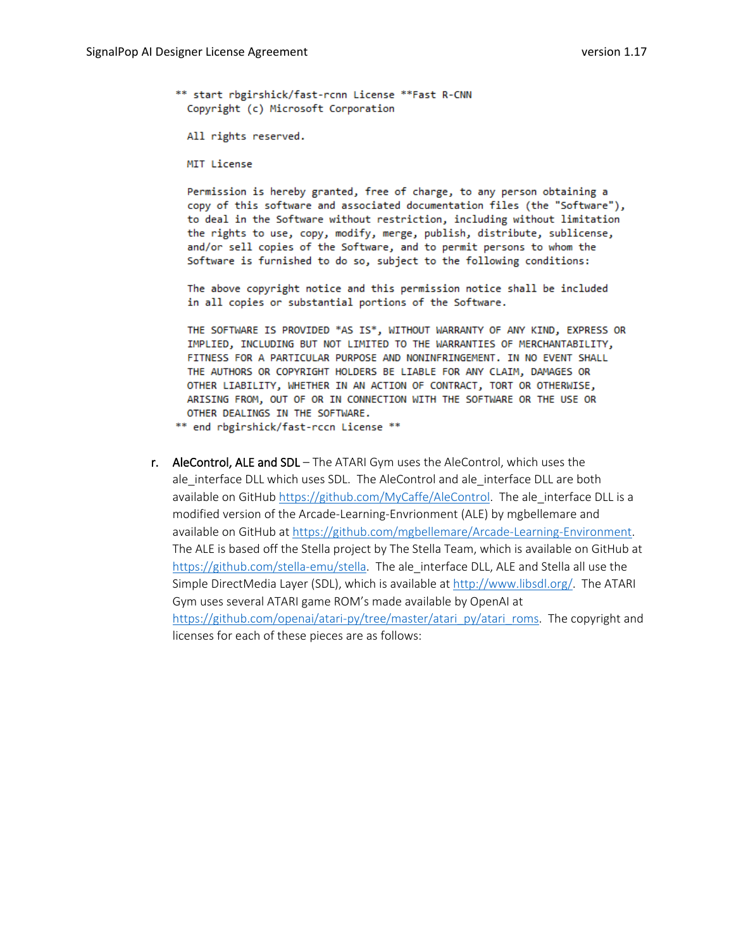\*\* start rbgirshick/fast-rcnn License \*\*Fast R-CNN Copyright (c) Microsoft Corporation

- All rights reserved.
- MIT License

Permission is hereby granted, free of charge, to any person obtaining a copy of this software and associated documentation files (the "Software"), to deal in the Software without restriction, including without limitation the rights to use, copy, modify, merge, publish, distribute, sublicense, and/or sell copies of the Software, and to permit persons to whom the Software is furnished to do so, subject to the following conditions:

The above copyright notice and this permission notice shall be included in all copies or substantial portions of the Software.

THE SOFTWARE IS PROVIDED \*AS IS\*, WITHOUT WARRANTY OF ANY KIND, EXPRESS OR IMPLIED, INCLUDING BUT NOT LIMITED TO THE WARRANTIES OF MERCHANTABILITY, FITNESS FOR A PARTICULAR PURPOSE AND NONINFRINGEMENT. IN NO EVENT SHALL THE AUTHORS OR COPYRIGHT HOLDERS BE LIABLE FOR ANY CLAIM, DAMAGES OR OTHER LIABILITY, WHETHER IN AN ACTION OF CONTRACT, TORT OR OTHERWISE, ARISING FROM, OUT OF OR IN CONNECTION WITH THE SOFTWARE OR THE USE OR OTHER DEALINGS IN THE SOFTWARE.

\*\* end rbgirshick/fast-rccn License \*\*

r. AleControl, ALE and SDL – The ATARI Gym uses the AleControl, which uses the ale interface DLL which uses SDL. The AleControl and ale interface DLL are both available on GitHub [https://github.com/MyCaffe/AleControl.](https://github.com/MyCaffe/AleControl) The ale interface DLL is a modified version of the Arcade-Learning-Envrionment (ALE) by mgbellemare and available on GitHub at [https://github.com/mgbellemare/Arcade-Learning-Environment.](https://github.com/mgbellemare/Arcade-Learning-Environment)  The ALE is based off the Stella project by The Stella Team, which is available on GitHub at [https://github.com/stella-emu/stella.](https://github.com/stella-emu/stella) The ale interface DLL, ALE and Stella all use the Simple DirectMedia Layer (SDL), which is available at [http://www.libsdl.org/.](http://www.libsdl.org/) The ATARI Gym uses several ATARI game ROM's made available by OpenAI at [https://github.com/openai/atari-py/tree/master/atari\\_py/atari\\_roms.](https://github.com/openai/atari-py/tree/master/atari_py/atari_roms) The copyright and licenses for each of these pieces are as follows: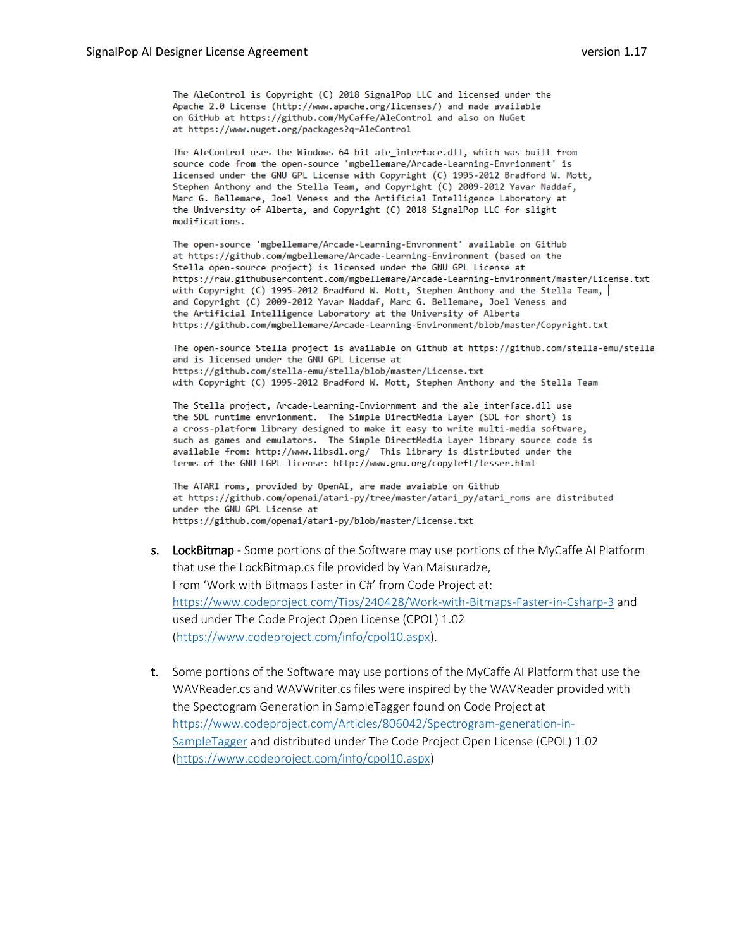The AleControl is Copyright (C) 2018 SignalPop LLC and licensed under the Apache 2.0 License (http://www.apache.org/licenses/) and made available on GitHub at https://github.com/MyCaffe/AleControl and also on NuGet at https://www.nuget.org/packages?q=AleControl

The AleControl uses the Windows 64-bit ale interface.dll, which was built from source code from the open-source 'mgbellemare/Arcade-Learning-Envrionment' is licensed under the GNU GPL License with Copyright (C) 1995-2012 Bradford W. Mott, Stephen Anthony and the Stella Team, and Copyright (C) 2009-2012 Yavar Naddaf, Marc G. Bellemare, Joel Veness and the Artificial Intelligence Laboratory at the University of Alberta, and Copyright (C) 2018 SignalPop LLC for slight modifications.

The open-source 'mgbellemare/Arcade-Learning-Envronment' available on GitHub at https://github.com/mgbellemare/Arcade-Learning-Environment (based on the Stella open-source project) is licensed under the GNU GPL License at https://raw.githubusercontent.com/mgbellemare/Arcade-Learning-Environment/master/License.txt with Copyright (C) 1995-2012 Bradford W. Mott, Stephen Anthony and the Stella Team, and Copyright (C) 2009-2012 Yavar Naddaf, Marc G. Bellemare, Joel Veness and the Artificial Intelligence Laboratory at the University of Alberta https://github.com/mgbellemare/Arcade-Learning-Environment/blob/master/Copyright.txt

The open-source Stella project is available on Github at https://github.com/stella-emu/stella and is licensed under the GNU GPL License at https://github.com/stella-emu/stella/blob/master/License.txt with Copyright (C) 1995-2012 Bradford W. Mott, Stephen Anthony and the Stella Team

The Stella project, Arcade-Learning-Enviornment and the ale interface.dll use the SDL runtime envrionment. The Simple DirectMedia Layer (SDL for short) is a cross-platform library designed to make it easy to write multi-media software, such as games and emulators. The Simple DirectMedia Layer library source code is available from: http://www.libsdl.org/ This library is distributed under the terms of the GNU LGPL license: http://www.gnu.org/copyleft/lesser.html

The ATARI roms, provided by OpenAI, are made avaiable on Github at https://github.com/openai/atari-py/tree/master/atari py/atari roms are distributed under the GNU GPL License at https://github.com/openai/atari-py/blob/master/License.txt

- s. LockBitmap Some portions of the Software may use portions of the MyCaffe AI Platform that use the LockBitmap.cs file provided by Van Maisuradze, From 'Work with Bitmaps Faster in C#' from Code Project at: https://www.codeproject.com/Tips/240428/Work-with-Bitmaps-Faster-in-Csharp-3 and used under The Code Project Open License (CPOL) 1.02 [\(https://www.codeproject.com/info/cpol10.aspx\)](https://www.codeproject.com/info/cpol10.aspx).
- t. Some portions of the Software may use portions of the MyCaffe AI Platform that use the WAVReader.cs and WAVWriter.cs files were inspired by the WAVReader provided with the Spectogram Generation in SampleTagger found on Code Project at [https://www.codeproject.com/Articles/806042/Spectrogram-generation-in-](https://www.codeproject.com/Articles/806042/Spectrogram-generation-in-SampleTagger)[SampleTagger](https://www.codeproject.com/Articles/806042/Spectrogram-generation-in-SampleTagger) and distributed under The Code Project Open License (CPOL) 1.02 [\(https://www.codeproject.com/info/cpol10.aspx\)](https://www.codeproject.com/info/cpol10.aspx)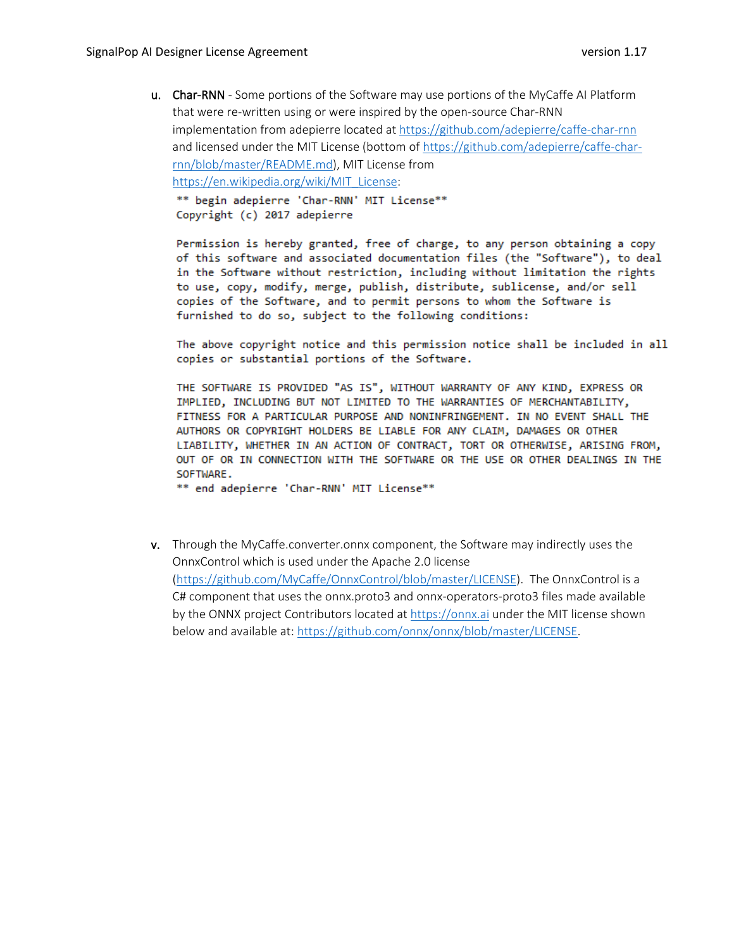u. Char-RNN - Some portions of the Software may use portions of the MyCaffe AI Platform that were re-written using or were inspired by the open-source Char-RNN implementation from adepierre located at <https://github.com/adepierre/caffe-char-rnn> and licensed under the MIT License (bottom of [https://github.com/adepierre/caffe-char](https://github.com/adepierre/caffe-char-rnn/blob/master/README.md)[rnn/blob/master/README.md\)](https://github.com/adepierre/caffe-char-rnn/blob/master/README.md), MIT License from [https://en.wikipedia.org/wiki/MIT\\_License:](https://en.wikipedia.org/wiki/MIT_License) \*\* begin adepierre 'Char-RNN' MIT License\*\* Copyright (c) 2017 adepierre

Permission is hereby granted, free of charge, to any person obtaining a copy of this software and associated documentation files (the "Software"), to deal in the Software without restriction, including without limitation the rights to use, copy, modify, merge, publish, distribute, sublicense, and/or sell copies of the Software, and to permit persons to whom the Software is furnished to do so, subject to the following conditions:

The above copyright notice and this permission notice shall be included in all copies or substantial portions of the Software.

THE SOFTWARE IS PROVIDED "AS IS", WITHOUT WARRANTY OF ANY KIND, EXPRESS OR IMPLIED, INCLUDING BUT NOT LIMITED TO THE WARRANTIES OF MERCHANTABILITY, FITNESS FOR A PARTICULAR PURPOSE AND NONINFRINGEMENT. IN NO EVENT SHALL THE AUTHORS OR COPYRIGHT HOLDERS BE LIABLE FOR ANY CLAIM, DAMAGES OR OTHER LIABILITY, WHETHER IN AN ACTION OF CONTRACT, TORT OR OTHERWISE, ARISING FROM, OUT OF OR IN CONNECTION WITH THE SOFTWARE OR THE USE OR OTHER DEALINGS IN THE SOFTWARE.

\*\* end adepierre 'Char-RNN' MIT License\*\*

v. Through the MyCaffe.converter.onnx component, the Software may indirectly uses the OnnxControl which is used under the Apache 2.0 license [\(https://github.com/MyCaffe/OnnxControl/blob/master/LICENSE\)](https://github.com/MyCaffe/OnnxControl/blob/master/LICENSE). The OnnxControl is a C# component that uses the onnx.proto3 and onnx-operators-proto3 files made available by the ONNX project Contributors located at [https://onnx.ai](https://onnx.ai/) under the MIT license shown below and available at: [https://github.com/onnx/onnx/blob/master/LICENSE.](https://github.com/onnx/onnx/blob/master/LICENSE)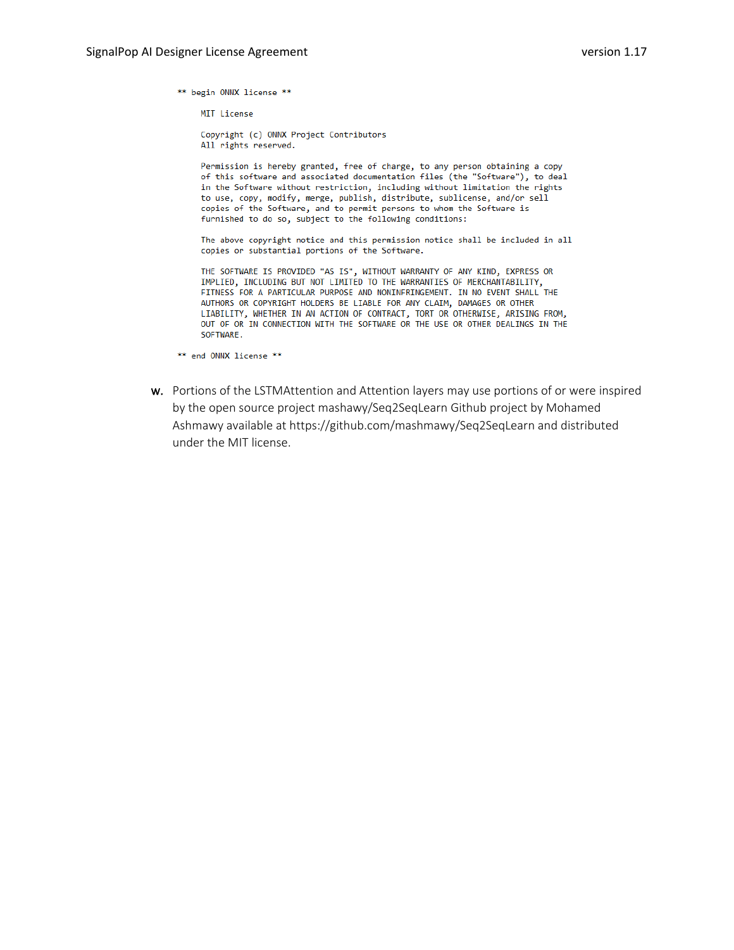\*\* begin ONNX license \*\*

MIT License

Copyright (c) ONNX Project Contributors All rights reserved.

Permission is hereby granted, free of charge, to any person obtaining a copy of this software and associated documentation files (the "Software"), to deal in the Software without restriction, including without limitation the rights to use, copy, modify, merge, publish, distribute, sublicense, and/or sell copies of the Software, and to permit persons to whom the Software is furnished to do so, subject to the following conditions:

The above copyright notice and this permission notice shall be included in all copies or substantial portions of the Software.

THE SOFTWARE IS PROVIDED "AS IS", WITHOUT WARRANTY OF ANY KIND, EXPRESS OR IMPLIED, INCLUDING BUT NOT LIMITED TO THE WARRANTIES OF MERCHANTABILITY, FITNESS FOR A PARTICULAR PURPOSE AND NONINFRINGEMENT. IN NO EVENT SHALL THE AUTHORS OR COPYRIGHT HOLDERS BE LIABLE FOR ANY CLAIM, DAMAGES OR OTHER LIABILITY, WHETHER IN AN ACTION OF CONTRACT, TORT OR OTHERWISE, ARISING FROM, OUT OF OR IN CONNECTION WITH THE SOFTWARE OR THE USE OR OTHER DEALINGS IN THE SOFTWARE.

w. Portions of the LSTMAttention and Attention layers may use portions of or were inspired by the open source project mashawy/Seq2SeqLearn Github project by Mohamed Ashmawy available at https://github.com/mashmawy/Seq2SeqLearn and distributed under the MIT license.

<sup>\*\*</sup> end ONNX license \*\*